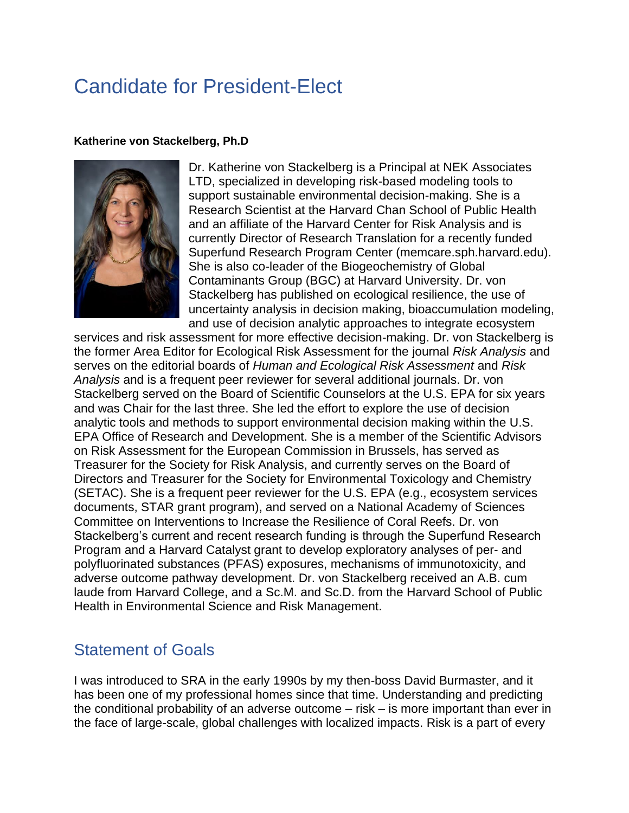## Candidate for President-Elect

## **Katherine von Stackelberg, Ph.D**



Dr. Katherine von Stackelberg is a Principal at NEK Associates LTD, specialized in developing risk-based modeling tools to support sustainable environmental decision-making. She is a Research Scientist at the Harvard Chan School of Public Health and an affiliate of the Harvard Center for Risk Analysis and is currently Director of Research Translation for a recently funded Superfund Research Program Center (memcare.sph.harvard.edu). She is also co-leader of the Biogeochemistry of Global Contaminants Group (BGC) at Harvard University. Dr. von Stackelberg has published on ecological resilience, the use of uncertainty analysis in decision making, bioaccumulation modeling, and use of decision analytic approaches to integrate ecosystem

services and risk assessment for more effective decision-making. Dr. von Stackelberg is the former Area Editor for Ecological Risk Assessment for the journal *Risk Analysis* and serves on the editorial boards of *Human and Ecological Risk Assessment* and *Risk Analysis* and is a frequent peer reviewer for several additional journals. Dr. von Stackelberg served on the Board of Scientific Counselors at the U.S. EPA for six years and was Chair for the last three. She led the effort to explore the use of decision analytic tools and methods to support environmental decision making within the U.S. EPA Office of Research and Development. She is a member of the Scientific Advisors on Risk Assessment for the European Commission in Brussels, has served as Treasurer for the Society for Risk Analysis, and currently serves on the Board of Directors and Treasurer for the Society for Environmental Toxicology and Chemistry (SETAC). She is a frequent peer reviewer for the U.S. EPA (e.g., ecosystem services documents, STAR grant program), and served on a National Academy of Sciences Committee on Interventions to Increase the Resilience of Coral Reefs. Dr. von Stackelberg's current and recent research funding is through the Superfund Research Program and a Harvard Catalyst grant to develop exploratory analyses of per- and polyfluorinated substances (PFAS) exposures, mechanisms of immunotoxicity, and adverse outcome pathway development. Dr. von Stackelberg received an A.B. cum laude from Harvard College, and a Sc.M. and Sc.D. from the Harvard School of Public Health in Environmental Science and Risk Management.

## Statement of Goals

I was introduced to SRA in the early 1990s by my then-boss David Burmaster, and it has been one of my professional homes since that time. Understanding and predicting the conditional probability of an adverse outcome – risk – is more important than ever in the face of large-scale, global challenges with localized impacts. Risk is a part of every